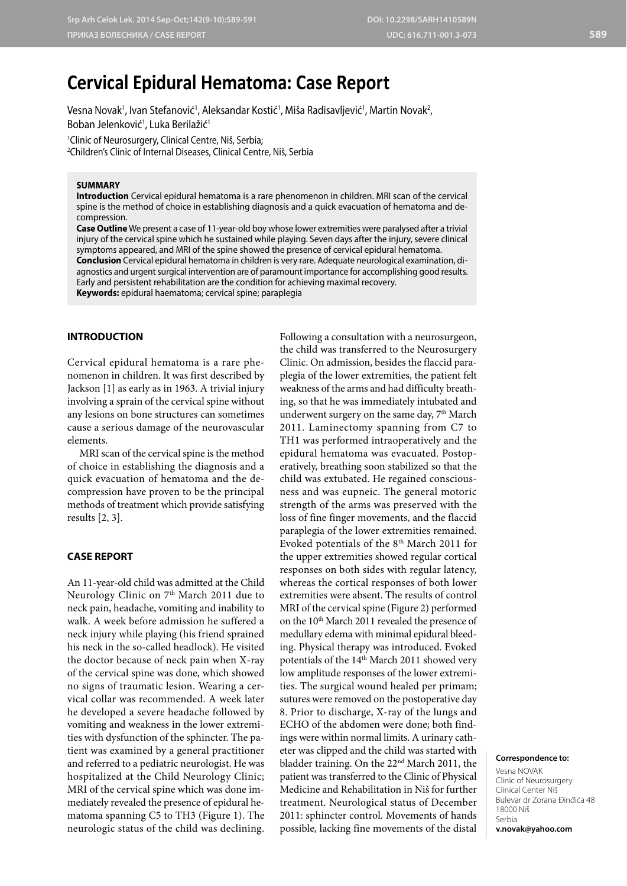# **Cervical Epidural Hematoma: Case Report**

Vesna Novak<sup>1</sup>, Ivan Stefanović<sup>1</sup>, Aleksandar Kostić<sup>1</sup>, Miša Radisavljević<sup>1</sup>, Martin Novak<sup>2</sup>, Boban Jelenković<sup>1</sup>, Luka Berilažić<sup>1</sup>

1 Clinic of Neurosurgery, Clinical Centre, Niš, Serbia; 2 Children's Clinic of Internal Diseases, Clinical Centre, Niš, Serbia

## **SUMMARY**

**Introduction** Cervical epidural hematoma is a rare phenomenon in children. MRI scan of the cervical spine is the method of choice in establishing diagnosis and a quick evacuation of hematoma and decompression.

**Case Outline** We present a case of 11-year-old boy whose lower extremities were paralysed after a trivial injury of the cervical spine which he sustained while playing. Seven days after the injury, severe clinical symptoms appeared, and MRI of the spine showed the presence of cervical epidural hematoma. **Conclusion** Cervical epidural hematoma in children is very rare. Adequate neurological examination, diagnostics and urgent surgical intervention are of paramount importance for accomplishing good results. Early and persistent rehabilitation are the condition for achieving maximal recovery.

**Keywords:** epidural haematoma; cervical spine; paraplegia

## **INTRODUCTION**

Cervical epidural hematoma is a rare phenomenon in children. It was first described by Jackson [1] as early as in 1963. A trivial injury involving a sprain of the cervical spine without any lesions on bone structures can sometimes cause a serious damage of the neurovascular elements.

MRI scan of the cervical spine is the method of choice in establishing the diagnosis and a quick evacuation of hematoma and the decompression have proven to be the principal methods of treatment which provide satisfying results [2, 3].

## **CASE REPORT**

An 11-year-old child was admitted at the Child Neurology Clinic on 7<sup>th</sup> March 2011 due to neck pain, headache, vomiting and inability to walk. A week before admission he suffered a neck injury while playing (his friend sprained his neck in the so-called headlock). He visited the doctor because of neck pain when X-ray of the cervical spine was done, which showed no signs of traumatic lesion. Wearing a cervical collar was recommended. A week later he developed a severe headache followed by vomiting and weakness in the lower extremities with dysfunction of the sphincter. The patient was examined by a general practitioner and referred to a pediatric neurologist. He was hospitalized at the Child Neurology Clinic; MRI of the cervical spine which was done immediately revealed the presence of epidural hematoma spanning C5 to TH3 (Figure 1). The neurologic status of the child was declining.

Following a consultation with a neurosurgeon, the child was transferred to the Neurosurgery Clinic. On admission, besides the flaccid paraplegia of the lower extremities, the patient felt weakness of the arms and had difficulty breathing, so that he was immediately intubated and underwent surgery on the same day, 7<sup>th</sup> March 2011. Laminectomy spanning from C7 to TH1 was performed intraoperatively and the epidural hematoma was evacuated. Postoperatively, breathing soon stabilized so that the child was extubated. He regained consciousness and was eupneic. The general motoric strength of the arms was preserved with the loss of fine finger movements, and the flaccid paraplegia of the lower extremities remained. Evoked potentials of the 8th March 2011 for the upper extremities showed regular cortical responses on both sides with regular latency, whereas the cortical responses of both lower extremities were absent. The results of control MRI of the cervical spine (Figure 2) performed on the 10<sup>th</sup> March 2011 revealed the presence of medullary edema with minimal epidural bleeding. Physical therapy was introduced. Evoked potentials of the 14<sup>th</sup> March 2011 showed very low amplitude responses of the lower extremities. The surgical wound healed per primam; sutures were removed on the postoperative day 8. Prior to discharge, X-ray of the lungs and ECHO of the abdomen were done; both findings were within normal limits. A urinary catheter was clipped and the child was started with bladder training. On the 22nd March 2011, the patient was transferred to the Clinic of Physical Medicine and Rehabilitation in Niš for further treatment. Neurological status of December 2011: sphincter control. Movements of hands possible, lacking fine movements of the distal

#### **Correspondence to:**

Vesna NOVAK Clinic of Neurosurgery Clinical Center Niš Bulevar dr Zorana Đinđića 48 18000 Niš Serbia **v.novak@yahoo.com**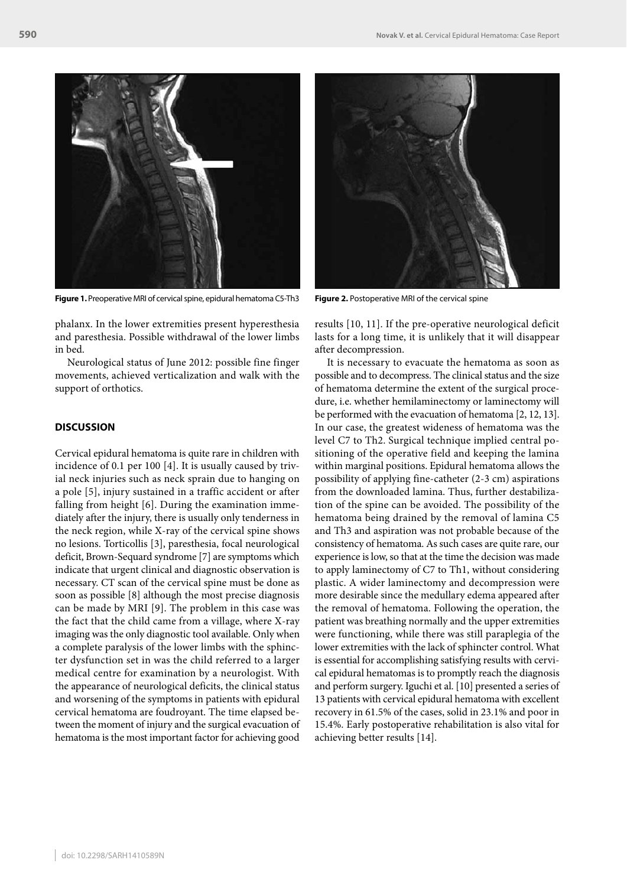

**Figure 1.** Preoperative MRI of cervical spine, epidural hematoma C5-Th3 **Figure 2.** Postoperative MRI of the cervical spine

phalanx. In the lower extremities present hyperesthesia and paresthesia. Possible withdrawal of the lower limbs in bed.

Neurological status of June 2012: possible fine finger movements, achieved verticalization and walk with the support of orthotics.

## **DISCUSSION**

Cervical epidural hematoma is quite rare in children with incidence of 0.1 per 100 [4]. It is usually caused by trivial neck injuries such as neck sprain due to hanging on a pole [5], injury sustained in a traffic accident or after falling from height [6]. During the examination immediately after the injury, there is usually only tenderness in the neck region, while X-ray of the cervical spine shows no lesions. Torticollis [3], paresthesia, focal neurological deficit, Brown-Sequard syndrome [7] are symptoms which indicate that urgent clinical and diagnostic observation is necessary. CT scan of the cervical spine must be done as soon as possible [8] although the most precise diagnosis can be made by MRI [9]. The problem in this case was the fact that the child came from a village, where X-ray imaging was the only diagnostic tool available. Only when a complete paralysis of the lower limbs with the sphincter dysfunction set in was the child referred to a larger medical centre for examination by a neurologist. With the appearance of neurological deficits, the clinical status and worsening of the symptoms in patients with epidural cervical hematoma are foudroyant. The time elapsed between the moment of injury and the surgical evacuation of hematoma is the most important factor for achieving good



results [10, 11]. If the pre-operative neurological deficit lasts for a long time, it is unlikely that it will disappear after decompression.

It is necessary to evacuate the hematoma as soon as possible and to decompress. The clinical status and the size of hematoma determine the extent of the surgical procedure, i.e. whether hemilaminectomy or laminectomy will be performed with the evacuation of hematoma [2, 12, 13]. In our case, the greatest wideness of hematoma was the level C7 to Th2. Surgical technique implied central positioning of the operative field and keeping the lamina within marginal positions. Epidural hematoma allows the possibility of applying fine-catheter (2-3 cm) aspirations from the downloaded lamina. Thus, further destabilization of the spine can be avoided. The possibility of the hematoma being drained by the removal of lamina C5 and Th3 and aspiration was not probable because of the consistency of hematoma. As such cases are quite rare, our experience is low, so that at the time the decision was made to apply laminectomy of C7 to Th1, without considering plastic. A wider laminectomy and decompression were more desirable since the medullary edema appeared after the removal of hematoma. Following the operation, the patient was breathing normally and the upper extremities were functioning, while there was still paraplegia of the lower extremities with the lack of sphincter control. What is essential for accomplishing satisfying results with cervical epidural hematomas is to promptly reach the diagnosis and perform surgery. Iguchi et al. [10] presented a series of 13 patients with cervical epidural hematoma with excellent recovery in 61.5% of the cases, solid in 23.1% and poor in 15.4%. Early postoperative rehabilitation is also vital for achieving better results [14].